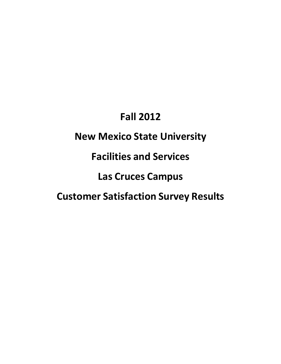# **Fall 2012**

# **New Mexico State University**

**Facilities and Services**

**Las Cruces Campus**

**Customer Satisfaction Survey Results**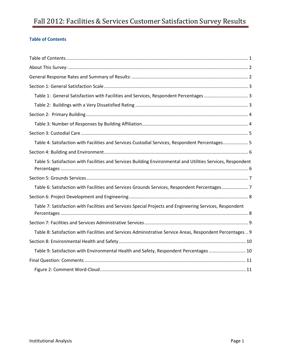# Fall 2012: Facilities & Services Customer Satisfaction Survey Results

# <span id="page-1-0"></span>**Table of Contents**

| Table 1: General Satisfaction with Facilities and Services, Respondent Percentages 3                         |  |
|--------------------------------------------------------------------------------------------------------------|--|
|                                                                                                              |  |
|                                                                                                              |  |
|                                                                                                              |  |
|                                                                                                              |  |
| Table 4: Satisfaction with Facilities and Services Custodial Services, Respondent Percentages 5              |  |
|                                                                                                              |  |
| Table 5: Satisfaction with Facilities and Services Building Environmental and Utilities Services, Respondent |  |
|                                                                                                              |  |
| Table 6: Satisfaction with Facilities and Services Grounds Services, Respondent Percentages7                 |  |
|                                                                                                              |  |
| Table 7: Satisfaction with Facilities and Services Special Projects and Engineering Services, Respondent     |  |
|                                                                                                              |  |
| Table 8: Satisfaction with Facilities and Services Administrative Service Areas, Respondent Percentages  9   |  |
|                                                                                                              |  |
| Table 9: Satisfaction with Environmental Health and Safety, Respondent Percentages  10                       |  |
|                                                                                                              |  |
|                                                                                                              |  |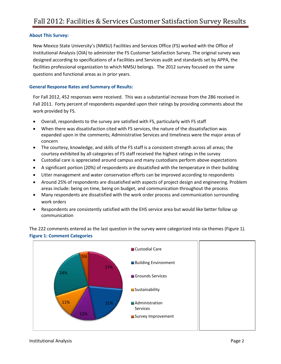# <span id="page-2-0"></span>**About This Survey:**

New Mexico State University's (NMSU) Facilities and Services Office (FS) worked with the Office of Institutional Analysis (OIA) to administer the FS Customer Satisfaction Survey. The original survey was designed according to specifications of a Facilities and Services audit and standards set by APPA, the facilities professional organization to which NMSU belongs. The 2012 survey focused on the same questions and functional areas as in prior years.

# <span id="page-2-1"></span>**General Response Rates and Summary of Results:**

For Fall 2012, 452 responses were received. This was a substantial increase from the 286 received in Fall 2011. Forty percent of respondents expanded upon their ratings by providing comments about the work provided by FS.

- Overall, respondents to the survey are satisfied with FS, particularly with FS staff
- When there was dissatisfaction cited with FS services, the nature of the dissatisfaction was expanded upon in the comments; Administrative Services and timeliness were the major areas of concern
- The courtesy, knowledge, and skills of the FS staff is a consistent strength across all areas; the courtesy exhibited by all categories of FS staff received the highest ratings in the survey
- Custodial care is appreciated around campus and many custodians perform above expectations
- A significant portion (20%) of respondents are dissatisfied with the temperature in their building
- Litter management and water conservation efforts can be improved according to respondents
- Around 25% of respondents are dissatisfied with aspects of project design and engineering. Problem areas include: being on time, being on budget, and communication throughout the process
- Many respondents are dissatisfied with the work order process and communication surrounding work orders
- Respondents are consistently satisfied with the EHS service area but would like better follow up communication

The 222 comments entered as the last question in the survey were categorized into six themes (Figure 1). **Figure 1: Comment Categories**

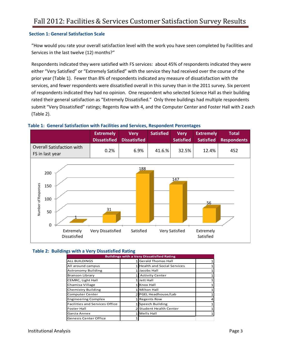# <span id="page-3-0"></span>**Section 1: General Satisfaction Scale**

"How would you rate your overall satisfaction level with the work you have seen completed by Facilities and Services in the last twelve (12) months?"

Respondents indicated they were satisfied with FS services: about 45% of respondents indicated they were either "Very Satisfied" or "Extremely Satisfied" with the service they had received over the course of the prior year (Table 1). Fewer than 8% of respondents indicated any measure of dissatisfaction with the services, and fewer respondents were dissatisfied overall in this survey than in the 2011 survey. Six percent of respondents indicated they had no opinion. One respondent who selected Science Hall as their building rated their general satisfaction as "Extremely Dissatisfied." Only three buildings had multiple respondents submit "Very Dissatisfied" ratings; Regents Row with 4, and the Computer Center and Foster Hall with 2 each (Table 2).

<span id="page-3-1"></span>



# <span id="page-3-2"></span> **Table 2: Buildings with a Very Dissatisfied Rating**

| <b>Buildings with a Very Dissatisfied Rating</b> |  |                                   |   |  |  |  |  |
|--------------------------------------------------|--|-----------------------------------|---|--|--|--|--|
| <b>ALL BUILDINGS</b>                             |  | <b>Gerald Thomas Hall</b>         |   |  |  |  |  |
| All around campus                                |  | <b>Health and Social Services</b> |   |  |  |  |  |
| <b>Astronomy Building</b>                        |  | Jacobs Hall                       |   |  |  |  |  |
| <b>Branson Library</b>                           |  | <b>Activity Center</b>            |   |  |  |  |  |
| <b>CEMRC, Light Hall</b>                         |  | Jett Hall                         | 1 |  |  |  |  |
| Chamisa Village                                  |  | <b>Knox Hall</b>                  |   |  |  |  |  |
| <b>Chemistry Building</b>                        |  | 1 Milton Hall                     |   |  |  |  |  |
| <b>Computer Center</b>                           |  | 2 PGEL Headhouse/Lab              |   |  |  |  |  |
| <b>Engineering Complex</b>                       |  | <b>Regents Row</b>                |   |  |  |  |  |
| <b>Facilities and Services Office</b>            |  | 1 Speech Building                 |   |  |  |  |  |
| <b>Foster Hall</b>                               |  | 2 Student Health Center           |   |  |  |  |  |
| Garcia Annex                                     |  | <b>Wells Hall</b>                 |   |  |  |  |  |
| Genesis Center Office                            |  |                                   |   |  |  |  |  |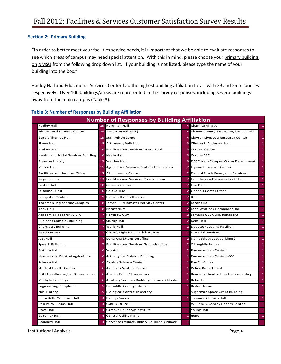# <span id="page-4-0"></span>**Section 2: Primary Building**

"In order to better meet your facilities service needs, it is important that we be able to evaluate responses to see which areas of campus may need special attention. With this in mind, please choose your primary building on NMSU from the following drop down list. If your building is not listed, please type the name of your building into the box."

Hadley Hall and Educational Services Center had the highest building affiliation totals with 29 and 25 responses respectively. Over 100 buildings/areas are represented in the survey responses, including several buildings away from the main campus (Table 3).

|                                            | <b>Number of Responses by Building Affiliation</b> |                                                |                |                                          |              |  |  |  |
|--------------------------------------------|----------------------------------------------------|------------------------------------------------|----------------|------------------------------------------|--------------|--|--|--|
| Hadley Hall                                |                                                    | 29 Hardman Hall                                |                | Chamisa Village                          | $\mathbf{1}$ |  |  |  |
| <b>Educational Services Center</b>         | 25                                                 | Anderson Hall (PSL)                            |                | Chaves County Extension, Roswell NM      | $\mathbf{1}$ |  |  |  |
| Gerald Thomas Hall                         |                                                    | 19 Stan Fulton Center                          |                | Clayton Livestocj Research Center        | $\mathbf{1}$ |  |  |  |
| Skeen Hall                                 |                                                    | 18 Astronomy Building                          |                | Clinton P. Anderson Hall                 | $\mathbf{1}$ |  |  |  |
| <b>Breland Hall</b>                        | 16                                                 | <b>Facilities and Services Motor Pool</b>      |                | <b>Corbett Center</b>                    | $\mathbf{1}$ |  |  |  |
| <b>Health and Social Services Building</b> |                                                    | 16 Neale Hall                                  | 3              | Corona ASC                               | $\mathbf{1}$ |  |  |  |
| <b>Branson Library</b>                     | 15                                                 | Walden Hall                                    |                | DACC Main Campus Water Department        | $\mathbf{1}$ |  |  |  |
| Milton Hall                                | 15                                                 | Agricultural Science Center at Tucumcari       |                | <b>Equine Education Center</b>           | $\mathbf{1}$ |  |  |  |
| <b>Facilities and Services Office</b>      |                                                    | 13 Albuquerque Center                          |                | Dept of Fire & Emergency Services        | $\mathbf{1}$ |  |  |  |
| <b>Regents Row</b>                         |                                                    | 13 Facilities and Services Construction        |                | <b>Facilities and Services Lock Shop</b> | $\mathbf{1}$ |  |  |  |
| Foster Hall                                | 10                                                 | Genesis Center C                               |                | Fire Dept.                               | $\mathbf{1}$ |  |  |  |
| O'Donnell Hall                             | 10                                                 | Golf Course                                    |                | Genesis Center Office                    | $\mathbf{1}$ |  |  |  |
| Computer Center                            | 9                                                  | <b>Herschell Zohn Theatre</b>                  | $\overline{2}$ | ICT                                      | $\mathbf{1}$ |  |  |  |
| Foreman Engineering Complex                | 8                                                  | James B. Delamater Activity Center             |                | Jacobs Hall                              | $\mathbf{1}$ |  |  |  |
| Knox Hall                                  | 8                                                  | Natatorium                                     |                | John Whitlock Hernandez Hall             | $\mathbf{1}$ |  |  |  |
| Academic Research A, B, C                  |                                                    | <b>Rentfrow Gym</b>                            |                | Jornada USDA Exp. Range HQ               | $\mathbf{1}$ |  |  |  |
| <b>Business Complex Building</b>           |                                                    | Stucky Hall                                    |                | Kent Hall                                | $\mathbf{1}$ |  |  |  |
| Chemistry Building                         |                                                    | <b>Wells Hall</b>                              |                | Livestock Judging Pavilion               | $\mathbf{1}$ |  |  |  |
| Garcia Annex                               |                                                    | CEMRC, Light Hall, Carlsbad, NM                |                | <b>Material Services</b>                 | $\mathbf{1}$ |  |  |  |
| Jett Hall                                  | 7                                                  | Dona Ana Extension office                      |                | Nematology Lab, building 2               | $\mathbf{1}$ |  |  |  |
| Speech Building                            | 7                                                  | Facilities and Services Grounds office         |                | O'Loughlin House                         | $\mathbf{1}$ |  |  |  |
| <b>Guthrie Hall</b>                        | 6                                                  | Wooton                                         |                | Pan American Center                      | $\mathbf{1}$ |  |  |  |
| New Mexico Dept. of Agriculture            | 6                                                  | Actually the Roberts Building                  |                | Pan American Center - OSE                | $\mathbf{1}$ |  |  |  |
| Science Hall                               |                                                    | Alcalde Science Center                         |                | PanAm Annex                              | $\mathbf{1}$ |  |  |  |
| <b>Student Health Center</b>               | 6                                                  | Alumni & Visitors Center                       |                | <b>Police Department</b>                 | $\mathbf{1}$ |  |  |  |
| PGEL Headhouse/Lab/Greenhouse              | 6                                                  | Apache Point Observatory                       |                | Reader's Theatre Theatre Scene shop      | $\mathbf{1}$ |  |  |  |
| Multiple Buildings                         | 6                                                  | Auxiliary Services Building/Barnes & Noble     |                | Roberts                                  | $\mathbf{1}$ |  |  |  |
| Engineering Complex I                      | 5                                                  | <b>Bernalillo County Extension</b>             |                | Rodeo Arena                              | $\mathbf{1}$ |  |  |  |
| Zuhl Library                               |                                                    | <b>Biological Control Insectary</b>            |                | Sugerman Space Grant Building            | $\mathbf{1}$ |  |  |  |
| Clara Belle Williams Hall                  |                                                    | <b>Biology Annex</b>                           |                | Thomas & Brown Hall                      | $\mathbf{1}$ |  |  |  |
| Dan W. Williams Hall                       |                                                    | <b>CSBF BLDG 28</b>                            |                | William B. Conroy Honors Center          | $\mathbf{1}$ |  |  |  |
| Dove Hall                                  |                                                    | Campus Police/Ag Institute                     |                | Young Hall                               | $\mathbf{1}$ |  |  |  |
| Gardiner Hall                              |                                                    | <b>Central Utility Plant</b>                   |                | none                                     | $\mathbf{1}$ |  |  |  |
| Goddard Hall                               | $\overline{4}$                                     | Cervantes Village, Bldg A (Children's Village) | $\mathbf{1}$   |                                          |              |  |  |  |

# <span id="page-4-1"></span>**Table 3: Number of Responses by Building Affiliation**

Institutional Analysis Page 4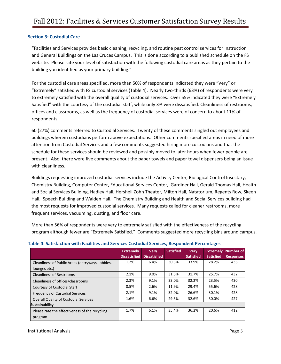# <span id="page-5-0"></span>**Section 3: Custodial Care**

"Facilities and Services provides basic cleaning, recycling, and routine pest control services for Instruction and General Buildings on the Las Cruces Campus. This is done according to a published schedule on the FS website. Please rate your level of satisfaction with the following custodial care areas as they pertain to the building you identified as your primary building."

For the custodial care areas specified, more than 50% of respondents indicated they were "Very" or "Extremely" satisfied with FS custodial services (Table 4). Nearly two-thirds (63%) of respondents were very to extremely satisfied with the overall quality of custodial services. Over 55% indicated they were "Extremely Satisfied" with the courtesy of the custodial staff, while only 3% were dissatisfied. Cleanliness of restrooms, offices and classrooms, as well as the frequency of custodial services were of concern to about 11% of respondents.

60 (27%) comments referred to Custodial Services. Twenty of these comments singled out employees and buildings wherein custodians perform above expectations. Other comments specified areas in need of more attention from Custodial Services and a few comments suggested hiring more custodians and that the schedule for these services should be reviewed and possibly moved to later hours when fewer people are present. Also, there were five comments about the paper towels and paper towel dispensers being an issue with cleanliness.

Buildings requesting improved custodial services include the Activity Center, Biological Control Insectary, Chemistry Building, Computer Center, Educational Services Center, Gardiner Hall, Gerald Thomas Hall, Health and Social Services Building, Hadley Hall, Hershell Zohn Theater, Milton Hall, Natatorium, Regents Row, Skeen Hall, Speech Building and Walden Hall. The Chemistry Building and Health and Social Services building had the most requests for improved custodial services. Many requests called for cleaner restrooms, more frequent services, vacuuming, dusting, and floor care.

More than 56% of respondents were very to extremely satisfied with the effectiveness of the recycling program although fewer are "Extremely Satisfied." Comments suggested more recycling bins around campus.

|                                                  | <b>Extremely</b><br><b>Dissatisfied</b> | <b>Very</b><br><b>Dissatisfied</b> | <b>Satisfied</b> | <b>Very</b><br><b>Satisfied</b> | <b>Extremely</b><br><b>Satisfied</b> | <b>Number of</b><br><b>Responses</b> |
|--------------------------------------------------|-----------------------------------------|------------------------------------|------------------|---------------------------------|--------------------------------------|--------------------------------------|
| Cleanliness of Public Areas (entryways, lobbies, | 1.2%                                    | 6.4%                               | 30.3%            | 33.9%                           | 28.2%                                | 436                                  |
| lounges etc.)                                    |                                         |                                    |                  |                                 |                                      |                                      |
| <b>Cleanliness of Restrooms</b>                  | 2.1%                                    | 9.0%                               | 31.5%            | 31.7%                           | 25.7%                                | 432                                  |
| Cleanliness of offices/classrooms                | 2.3%                                    | 9.1%                               | 33.0%            | 32.2%                           | 23.5%                                | 430                                  |
| Courtesy of Custodial Staff                      | 0.5%                                    | 2.6%                               | 11.9%            | 29.4%                           | 55.6%                                | 428                                  |
| Frequency of Custodial Services                  | 2.1%                                    | 9.1%                               | 32.0%            | 26.6%                           | 30.1%                                | 428                                  |
| Overall Quality of Custodial Services            | 1.6%                                    | 6.6%                               | 29.3%            | 32.6%                           | 30.0%                                | 427                                  |
| <b>Sustainability</b>                            |                                         |                                    |                  |                                 |                                      |                                      |
| Please rate the effectiveness of the recycling   | 1.7%                                    | 6.1%                               | 35.4%            | 36.2%                           | 20.6%                                | 412                                  |
| program                                          |                                         |                                    |                  |                                 |                                      |                                      |

# <span id="page-5-1"></span>**Table 4: Satisfaction with Facilities and Services Custodial Services, Respondent Percentages**

Institutional Analysis Page 5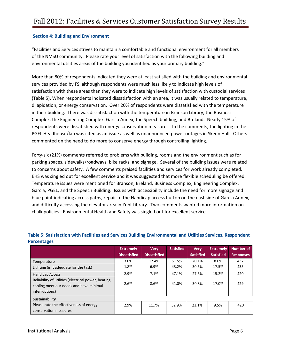# <span id="page-6-0"></span>**Section 4: Building and Environment**

"Facilities and Services strives to maintain a comfortable and functional environment for all members of the NMSU community. Please rate your level of satisfaction with the following building and environmental utilities areas of the building you identified as your primary building."

More than 80% of respondents indicated they were at least satisfied with the building and environmental services provided by FS, although respondents were much less likely to indicate high levels of satisfaction with these areas than they were to indicate high levels of satisfaction with custodial services (Table 5). When respondents indicated dissatisfaction with an area, it was usually related to temperature, dilapidation, or energy conservation. Over 20% of respondents were dissatisfied with the temperature in their building. There was dissatisfaction with the temperature in Branson Library, the Business Complex, the Engineering Complex, Garcia Annex, the Speech building, and Breland. Nearly 15% of respondents were dissatisfied with energy conservation measures. In the comments, the lighting in the PGEL Headhouse/lab was cited as an issue as well as unannounced power outages in Skeen Hall. Others commented on the need to do more to conserve energy through controlling lighting.

Forty-six (21%) comments referred to problems with building, rooms and the environment such as for parking spaces, sidewalks/roadways, bike racks, and signage. Several of the building issues were related to concerns about safety. A few comments praised facilities and services for work already completed. EHS was singled out for excellent service and it was suggested that more flexible scheduling be offered. Temperature issues were mentioned for Branson, Breland, Business Complex, Engineering Complex, Garcia, PGEL, and the Speech Building. Issues with accessibility include the need for more signage and blue paint indicating access paths, repair to the Handicap access button on the east side of Garcia Annex, and difficulty accessing the elevator area in Zuhl Library. Two comments wanted more information on chalk policies. Environmental Health and Safety was singled out for excellent service.

|                                                                                                                   | <b>Extremely</b>    | <b>Verv</b>         | <b>Satisfied</b> | <b>Very</b>      | <b>Extremelv</b> | Number of        |
|-------------------------------------------------------------------------------------------------------------------|---------------------|---------------------|------------------|------------------|------------------|------------------|
|                                                                                                                   | <b>Dissatisfied</b> | <b>Dissatisfied</b> |                  | <b>Satisfied</b> | <b>Satisfied</b> | <b>Responses</b> |
| Temperature                                                                                                       | 3.0%                | 17.4%               | 51.5%            | 20.1%            | 8.0%             | 437              |
| Lighting (is it adequate for the task)                                                                            | 1.8%                | 6.9%                | 43.2%            | 30.6%            | 17.5%            | 435              |
| <b>Handicap Access</b>                                                                                            | 2.9%                | 7.1%                | 47.1%            | 27.6%            | 15.2%            | 420              |
| Reliability of utilities (electrical power, heating,<br>cooling meet our needs and have minimal<br>interruptions) | 2.6%                | 8.6%                | 41.0%            | 30.8%            | 17.0%            | 429              |
| <b>Sustainability</b>                                                                                             |                     |                     |                  |                  |                  |                  |
| Please rate the effectiveness of energy<br>conservation measures                                                  | 2.9%                | 11.7%               | 52.9%            | 23.1%            | 9.5%             | 420              |

# <span id="page-6-1"></span>**Table 5: Satisfaction with Facilities and Services Building Environmental and Utilities Services, Respondent Percentages**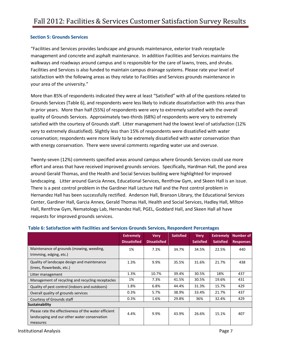# <span id="page-7-0"></span>**Section 5: Grounds Services**

"Facilities and Services provides landscape and grounds maintenance, exterior trash receptacle management and concrete and asphalt maintenance. In addition Facilities and Services maintains the walkways and roadways around campus and is responsible for the care of lawns, trees, and shrubs. Facilities and Services is also funded to maintain campus drainage systems. Please rate your level of satisfaction with the following areas as they relate to Facilities and Services grounds maintenance in your area of the university."

More than 85% of respondents indicated they were at least "Satisfied" with all of the questions related to Grounds Services (Table 6), and respondents were less likely to indicate dissatisfaction with this area than in prior years. More than half (55%) of respondents were very to extremely satisfied with the overall quality of Grounds Services. Approximately two-thirds (68%) of respondents were very to extremely satisfied with the courtesy of Grounds staff. Litter management had the lowest level of satisfaction (12% very to extremely dissatisfied). Slightly less than 15% of respondents were dissatisfied with water conservation; respondents were more likely to be extremely dissatisfied with water conservation than with energy conservation. There were several comments regarding water use and overuse.

Twenty-seven (12%) comments specified areas around campus where Grounds Services could use more effort and areas that have received improved grounds services. Specifically, Hardman Hall, the pond area around Gerald Thomas, and the Health and Social Services building were highlighted for improved landscaping. Litter around Garcia Annex, Educational Services, Rentfrow Gym, and Skeen Hall is an issue. There is a pest control problem in the Gardiner Hall Lecture Hall and the Pest control problem in Hernandez Hall has been successfully rectified. Anderson Hall, Branson Library, the Educational Services Center, Gardiner Hall, Garcia Annex, Gerald Thomas Hall, Health and Social Services, Hadley Hall, Milton Hall, Rentfrow Gym, Nematology Lab, Hernandez Hall, PGEL, Goddard Hall, and Skeen Hall all have requests for improved grounds services.

|                                                                                                                  | <b>Extremely</b><br><b>Dissatisfied</b> | <b>Very</b><br><b>Dissatisfied</b> | <b>Satisfied</b> | <b>Very</b><br><b>Satisfied</b> | <b>Extremely</b><br><b>Satisfied</b> | <b>Number of</b><br><b>Responses</b> |
|------------------------------------------------------------------------------------------------------------------|-----------------------------------------|------------------------------------|------------------|---------------------------------|--------------------------------------|--------------------------------------|
| Maintenance of grounds (mowing, weeding,<br>trimming, edging, etc.)                                              | 1%                                      | 7.3%                               | 34.7%            | 34.5%                           | 22.5%                                | 440                                  |
| Quality of landscape design and maintenance<br>(trees, flowerbeds, etc.)                                         | 1.3%                                    | 9.9%                               | 35.5%            | 31.6%                           | 21.7%                                | 438                                  |
| Litter management                                                                                                | 1.3%                                    | 10.7%                              | 39.4%            | 30.5%                           | 18%                                  | 437                                  |
| Management of recycling and recycling receptacles                                                                | 1%                                      | 7.3%                               | 41.5%            | 30.5%                           | 19.6%                                | 431                                  |
| Quality of pest control (indoors and outdoors)                                                                   | 1.8%                                    | 6.8%                               | 44.4%            | 31.3%                           | 15.7%                                | 429                                  |
| Overall quality of grounds services                                                                              | 0.3%                                    | 5.7%                               | 38.9%            | 33.4%                           | 21.7%                                | 437                                  |
| Courtesy of Grounds staff                                                                                        | 0.3%                                    | 1.6%                               | 29.8%            | 36%                             | 32.4%                                | 429                                  |
| Sustainability                                                                                                   |                                         |                                    |                  |                                 |                                      |                                      |
| Please rate the effectiveness of the water efficient<br>landscaping and our other water conservation<br>measures | 4.4%                                    | 9.9%                               | 43.9%            | 26.6%                           | 15.1%                                | 407                                  |

# <span id="page-7-1"></span>**Table 6: Satisfaction with Facilities and Services Grounds Services, Respondent Percentages**

Institutional Analysis Page 7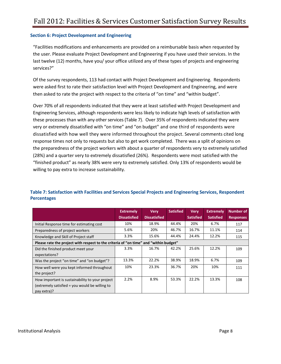# <span id="page-8-0"></span>**Section 6: Project Development and Engineering**

"Facilities modifications and enhancements are provided on a reimbursable basis when requested by the user. Please evaluate Project Development and Engineering if you have used their services. In the last twelve (12) months, have you/ your office utilized any of these types of projects and engineering services?"

Of the survey respondents, 113 had contact with Project Development and Engineering. Respondents were asked first to rate their satisfaction level with Project Development and Engineering, and were then asked to rate the project with respect to the criteria of "on time" and "within budget".

Over 70% of all respondents indicated that they were at least satisfied with Project Development and Engineering Services, although respondents were less likely to indicate high levels of satisfaction with these processes than with any other services (Table 7). Over 35% of respondents indicated they were very or extremely dissatisfied with "on time" and "on budget" and one third of respondents were dissatisfied with how well they were informed throughout the project. Several comments cited long response times not only to requests but also to get work completed. There was a split of opinions on the preparedness of the project workers with about a quarter of respondents very to extremely satisfied (28%) and a quarter very to extremely dissatisfied (26%). Respondents were most satisfied with the "finished product" as nearly 38% were very to extremely satisfied. Only 13% of respondents would be willing to pay extra to increase sustainability.

|                                                                                       | <b>Extremely</b>    | <b>Very</b>         | <b>Satisfied</b> | <b>Very</b>      | <b>Extremely</b> | <b>Number of</b> |
|---------------------------------------------------------------------------------------|---------------------|---------------------|------------------|------------------|------------------|------------------|
|                                                                                       | <b>Dissatisfied</b> | <b>Dissatisfied</b> |                  | <b>Satisfied</b> | <b>Satisfied</b> | <b>Responses</b> |
| Initial Response time for estimating cost                                             | 10%                 | 18.9%               | 44.4%            | 20%              | 6.7%             | 117              |
| Preparedness of project workers                                                       | 5.6%                | 20%                 | 46.7%            | 16.7%            | 11.1%            | 114              |
| Knowledge and Skill of Project staff                                                  | 3.3%                | 15.6%               | 44.4%            | 24.4%            | 12.2%            | 115              |
| Please rate the project with respect to the criteria of "on time" and "within budget" |                     |                     |                  |                  |                  |                  |
| Did the finished product meet your                                                    | 3.3%                | 16.7%               | 42.2%            | 25.6%            | 12.2%            | 109              |
| expectations?                                                                         |                     |                     |                  |                  |                  |                  |
| Was the project "on time" and "on budget"?                                            | 13.3%               | 22.2%               | 38.9%            | 18.9%            | 6.7%             | 109              |
| How well were you kept informed throughout                                            | 10%                 | 23.3%               | 36.7%            | 20%              | 10%              | 111              |
| the project?                                                                          |                     |                     |                  |                  |                  |                  |
| How important is sustainability to your project                                       | 2.2%                | 8.9%                | 53.3%            | 22.2%            | 13.3%            | 108              |
| (extremely satisfied = you would be willing to                                        |                     |                     |                  |                  |                  |                  |
| pay extra)?                                                                           |                     |                     |                  |                  |                  |                  |

# <span id="page-8-1"></span>**Table 7: Satisfaction with Facilities and Services Special Projects and Engineering Services, Respondent Percentages**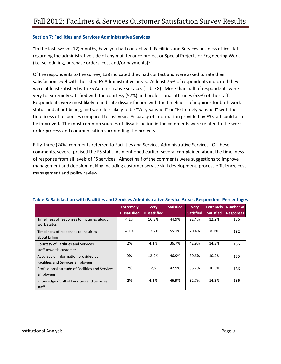# <span id="page-9-0"></span>**Section 7: Facilities and Services Administrative Services**

"In the last twelve (12) months, have you had contact with Facilities and Services business office staff regarding the administrative side of any maintenance project or Special Projects or Engineering Work (i.e. scheduling, purchase orders, cost and/or payments)?"

Of the respondents to the survey, 138 indicated they had contact and were asked to rate their satisfaction level with the listed FS Administrative areas. At least 75% of respondents indicated they were at least satisfied with FS Administrative services (Table 8). More than half of respondents were very to extremely satisfied with the courtesy (57%) and professional attitudes (53%) of the staff. Respondents were most likely to indicate dissatisfaction with the timeliness of inquiries for both work status and about billing, and were less likely to be "Very Satisfied" or "Extremely Satisfied" with the timeliness of responses compared to last year. Accuracy of information provided by FS staff could also be improved. The most common sources of dissatisfaction in the comments were related to the work order process and communication surrounding the projects.

Fifty-three (24%) comments referred to Facilities and Services Administrative Services. Of these comments, several praised the FS staff. As mentioned earlier, several complained about the timeliness of response from all levels of FS services. Almost half of the comments were suggestions to improve management and decision making including customer service skill development, process efficiency, cost management and policy review.

|                                                                          | <b>Extremely</b><br><b>Dissatisfied</b> | <b>Very</b><br><b>Dissatisfied</b> | <b>Satisfied</b> | <b>Very</b><br><b>Satisfied</b> | <b>Extremely</b><br><b>Satisfied</b> | <b>Number of</b><br><b>Responses</b> |
|--------------------------------------------------------------------------|-----------------------------------------|------------------------------------|------------------|---------------------------------|--------------------------------------|--------------------------------------|
| Timeliness of responses to inquiries about<br>work status                | 4.1%                                    | 16.3%                              | 44.9%            | 22.4%                           | 12.2%                                | 136                                  |
| Timeliness of responses to inquiries<br>about billing                    | 4.1%                                    | 12.2%                              | 55.1%            | 20.4%                           | 8.2%                                 | 132                                  |
| <b>Courtesy of Facilities and Services</b><br>staff towards customer     | 2%                                      | 4.1%                               | 36.7%            | 42.9%                           | 14.3%                                | 136                                  |
| Accuracy of information provided by<br>Facilities and Services employees | 0%                                      | 12.2%                              | 46.9%            | 30.6%                           | 10.2%                                | 135                                  |
| Professional attitude of Facilities and Services<br>employees            | 2%                                      | 2%                                 | 42.9%            | 36.7%                           | 16.3%                                | 136                                  |
| Knowledge / Skill of Facilities and Services<br>staff                    | 2%                                      | 4.1%                               | 46.9%            | 32.7%                           | 14.3%                                | 136                                  |

# <span id="page-9-1"></span>**Table 8: Satisfaction with Facilities and Services Administrative Service Areas, Respondent Percentages**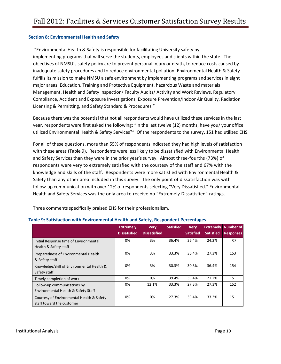# <span id="page-10-0"></span>**Section 8: Environmental Health and Safety**

"Environmental Health & Safety is responsible for facilitating University safety by implementing programs that will serve the students, employees and clients within the state. The objectives of NMSU's safety policy are to prevent personal injury or death, to reduce costs caused by inadequate safety procedures and to reduce environmental pollution. Environmental Health & Safety fulfills its mission to make NMSU a safe environment by implementing programs and services in eight major areas: Education, Training and Protective Equipment, hazardous Waste and materials Management, Health and Safety Inspection/ Faculty Audits/ Activity and Work Reviews, Regulatory Compliance, Accident and Exposure Investigations, Exposure Prevention/Indoor Air Quality, Radiation Licensing & Permitting, and Safety Standard & Procedures."

Because there was the potential that not all respondents would have utilized these services in the last year, respondents were first asked the following: "In the last twelve (12) months, have you/ your office utilized Environmental Health & Safety Services?" Of the respondents to the survey, 151 had utilized EHS.

For all of these questions, more than 55% of respondents indicated they had high levels of satisfaction with these areas (Table 9). Respondents were less likely to be dissatisfied with Environmental Health and Safety Services than they were in the prior year's survey. Almost three-fourths (73%) of respondents were very to extremely satisfied with the courtesy of the staff and 67% with the knowledge and skills of the staff. Respondents were more satisfied with Environmental Health & Safety than any other area included in this survey. The only point of dissatisfaction was with follow-up communication with over 12% of respondents selecting "Very Dissatisfied." Environmental Health and Safety Services was the only area to receive no "Extremely Dissatisfied" ratings.

|                                                                        | <b>Extremely</b><br><b>Dissatisfied</b> | <b>Very</b><br><b>Dissatisfied</b> | <b>Satisfied</b> | <b>Very</b><br><b>Satisfied</b> | <b>Extremely</b><br><b>Satisfied</b> | Number of<br><b>Responses</b> |
|------------------------------------------------------------------------|-----------------------------------------|------------------------------------|------------------|---------------------------------|--------------------------------------|-------------------------------|
| Initial Response time of Environmental<br>Health & Safety staff        | 0%                                      | 3%                                 | 36.4%            | 36.4%                           | 24.2%                                | 152                           |
| Preparedness of Environmental Health<br>& Safety staff                 | 0%                                      | 3%                                 | 33.3%            | 36.4%                           | 27.3%                                | 153                           |
| Knowledge/skill of Environmental Health &<br>Safety staff              | 0%                                      | 3%                                 | 30.3%            | 30.3%                           | 36.4%                                | 154                           |
| Timely completion of work                                              | 0%                                      | 0%                                 | 39.4%            | 39.4%                           | 21.2%                                | 151                           |
| Follow-up communications by<br>Environmental Health & Safety Staff     | 0%                                      | 12.1%                              | 33.3%            | 27.3%                           | 27.3%                                | 152                           |
| Courtesy of Environmental Health & Safety<br>staff toward the customer | 0%                                      | 0%                                 | 27.3%            | 39.4%                           | 33.3%                                | 151                           |

Three comments specifically praised EHS for their professionalism.

# <span id="page-10-1"></span>**Table 9: Satisfaction with Environmental Health and Safety, Respondent Percentages**